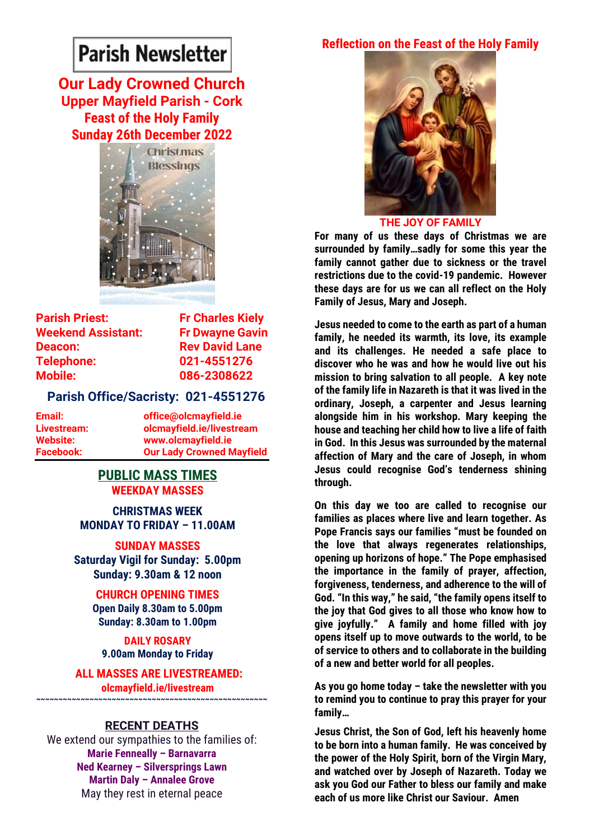# **Parish Newsletter**

**Our Lady Crowned Church Upper Mayfield Parish - Cork Feast of the Holy Family Sunday 26th December 2022**



**Parish Priest:** Fr Charles Kiely **Weekend Assistant: Fr Dwayne Gavin Deacon:** Rev David Lane **Telephone: 021-4551276 Mobile: 086-2308622** 

#### **Parish Office/Sacristy: 021-4551276**

**Email: office@olcmayfield.ie Livestream: olcmayfield.ie/livestream Website: www.olcmayfield.ie Facebook: Our Lady Crowned Mayfield**

## **PUBLIC MASS TIMES WEEKDAY MASSES**

**CHRISTMAS WEEK MONDAY TO FRIDAY – 11.00AM**

**SUNDAY MASSES Saturday Vigil for Sunday: 5.00pm Sunday: 9.30am & 12 noon**

> **CHURCH OPENING TIMES Open Daily 8.30am to 5.00pm Sunday: 8.30am to 1.00pm**

**DAILY ROSARY 9.00am Monday to Friday**

**ALL MASSES ARE LIVESTREAMED: olcmayfield.ie/livestream ~~~~~~~~~~~~~~~~~~~~~~~~~~~~~~~~~~~~~~~~~~~~~~~~~~~~**

#### **RECENT DEATHS**

We extend our sympathies to the families of: **Marie Fenneally – Barnavarra Ned Kearney – Silversprings Lawn Martin Daly – Annalee Grove** May they rest in eternal peace

## **Reflection on the Feast of the Holy Family**



**THE JOY OF FAMILY**

**For many of us these days of Christmas we are surrounded by family…sadly for some this year the family cannot gather due to sickness or the travel restrictions due to the covid-19 pandemic. However these days are for us we can all reflect on the Holy Family of Jesus, Mary and Joseph.**

**Jesus needed to come to the earth as part of a human family, he needed its warmth, its love, its example and its challenges. He needed a safe place to discover who he was and how he would live out his mission to bring salvation to all people. A key note of the family life in Nazareth is that it was lived in the ordinary, Joseph, a carpenter and Jesus learning alongside him in his workshop. Mary keeping the house and teaching her child how to live a life of faith in God. In this Jesus was surrounded by the maternal affection of Mary and the care of Joseph, in whom Jesus could recognise God's tenderness shining through.**

**On this day we too are called to recognise our families as places where live and learn together. As Pope Francis says our families "must be founded on the love that always regenerates relationships, opening up horizons of hope." The Pope emphasised the importance in the family of prayer, affection, forgiveness, tenderness, and adherence to the will of God. "In this way," he said, "the family opens itself to the joy that God gives to all those who know how to give joyfully." A family and home filled with joy opens itself up to move outwards to the world, to be of service to others and to collaborate in the building of a new and better world for all peoples.**

**As you go home today – take the newsletter with you to remind you to continue to pray this prayer for your family…**

**Jesus Christ, the Son of God, left his heavenly home to be born into a human family. He was conceived by the power of the Holy Spirit, born of the Virgin Mary, and watched over by Joseph of Nazareth. Today we ask you God our Father to bless our family and make each of us more like Christ our Saviour. Amen**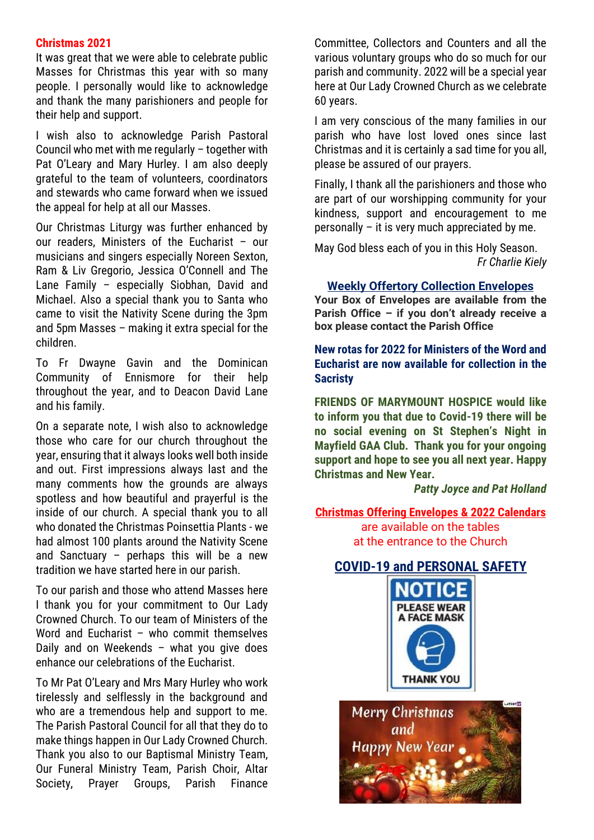#### **Christmas 2021**

It was great that we were able to celebrate public Masses for Christmas this year with so many people. I personally would like to acknowledge and thank the many parishioners and people for their help and support.

I wish also to acknowledge Parish Pastoral Council who met with me regularly – together with Pat O'Leary and Mary Hurley. I am also deeply grateful to the team of volunteers, coordinators and stewards who came forward when we issued the appeal for help at all our Masses.

Our Christmas Liturgy was further enhanced by our readers, Ministers of the Eucharist – our musicians and singers especially Noreen Sexton, Ram & Liv Gregorio, Jessica O'Connell and The Lane Family – especially Siobhan, David and Michael. Also a special thank you to Santa who came to visit the Nativity Scene during the 3pm and 5pm Masses – making it extra special for the children.

To Fr Dwayne Gavin and the Dominican Community of Ennismore for their help throughout the year, and to Deacon David Lane and his family.

On a separate note, I wish also to acknowledge those who care for our church throughout the year, ensuring that it always looks well both inside and out. First impressions always last and the many comments how the grounds are always spotless and how beautiful and prayerful is the inside of our church. A special thank you to all who donated the Christmas Poinsettia Plants - we had almost 100 plants around the Nativity Scene and Sanctuary – perhaps this will be a new tradition we have started here in our parish.

To our parish and those who attend Masses here I thank you for your commitment to Our Lady Crowned Church. To our team of Ministers of the Word and Eucharist – who commit themselves Daily and on Weekends – what you give does enhance our celebrations of the Eucharist.

To Mr Pat O'Leary and Mrs Mary Hurley who work tirelessly and selflessly in the background and who are a tremendous help and support to me. The Parish Pastoral Council for all that they do to make things happen in Our Lady Crowned Church. Thank you also to our Baptismal Ministry Team, Our Funeral Ministry Team, Parish Choir, Altar Society, Prayer Groups, Parish Finance Committee, Collectors and Counters and all the various voluntary groups who do so much for our parish and community. 2022 will be a special year here at Our Lady Crowned Church as we celebrate 60 years.

I am very conscious of the many families in our parish who have lost loved ones since last Christmas and it is certainly a sad time for you all, please be assured of our prayers.

Finally, I thank all the parishioners and those who are part of our worshipping community for your kindness, support and encouragement to me personally – it is very much appreciated by me.

May God bless each of you in this Holy Season. *Fr Charlie Kiely*

## **Weekly Offertory Collection Envelopes**

**Your Box of Envelopes are available from the Parish Office – if you don't already receive a box please contact the Parish Office**

## **New rotas for 2022 for Ministers of the Word and Eucharist are now available for collection in the Sacristy**

**FRIENDS OF MARYMOUNT HOSPICE would like to inform you that due to Covid-19 there will be no social evening on St Stephen's Night in Mayfield GAA Club. Thank you for your ongoing support and hope to see you all next year. Happy Christmas and New Year.**

*Patty Joyce and Pat Holland*

#### **Christmas Offering Envelopes & 2022 Calendars** are available on the tables at the entrance to the Church

## **COVID-19 and PERSONAL SAFETY**